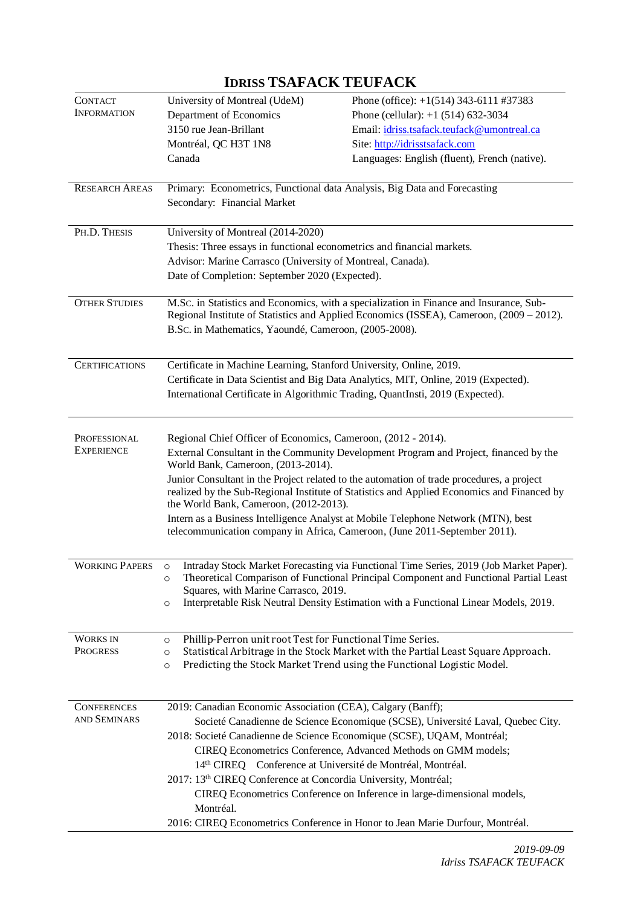| <b>CONTACT</b><br><b>INFORMATION</b>                                                                                                                                                                                           | University of Montreal (UdeM)<br>Department of Economics                                                                                                                                                                  | Phone (office): +1(514) 343-6111 #37383<br>Phone (cellular): $+1$ (514) 632-3034        |  |
|--------------------------------------------------------------------------------------------------------------------------------------------------------------------------------------------------------------------------------|---------------------------------------------------------------------------------------------------------------------------------------------------------------------------------------------------------------------------|-----------------------------------------------------------------------------------------|--|
|                                                                                                                                                                                                                                | 3150 rue Jean-Brillant                                                                                                                                                                                                    | Email: idriss.tsafack.teufack@umontreal.ca                                              |  |
|                                                                                                                                                                                                                                | Montréal, QC H3T 1N8                                                                                                                                                                                                      | Site: http://idrisstsafack.com                                                          |  |
|                                                                                                                                                                                                                                | Canada                                                                                                                                                                                                                    | Languages: English (fluent), French (native).                                           |  |
|                                                                                                                                                                                                                                |                                                                                                                                                                                                                           |                                                                                         |  |
| <b>RESEARCH AREAS</b>                                                                                                                                                                                                          | Primary: Econometrics, Functional data Analysis, Big Data and Forecasting                                                                                                                                                 |                                                                                         |  |
|                                                                                                                                                                                                                                | Secondary: Financial Market                                                                                                                                                                                               |                                                                                         |  |
| PH.D. THESIS<br>University of Montreal (2014-2020)                                                                                                                                                                             |                                                                                                                                                                                                                           |                                                                                         |  |
|                                                                                                                                                                                                                                | Thesis: Three essays in functional econometrics and financial markets.<br>Advisor: Marine Carrasco (University of Montreal, Canada).                                                                                      |                                                                                         |  |
|                                                                                                                                                                                                                                |                                                                                                                                                                                                                           |                                                                                         |  |
|                                                                                                                                                                                                                                | Date of Completion: September 2020 (Expected).                                                                                                                                                                            |                                                                                         |  |
| <b>OTHER STUDIES</b>                                                                                                                                                                                                           |                                                                                                                                                                                                                           | M.Sc. in Statistics and Economics, with a specialization in Finance and Insurance, Sub- |  |
|                                                                                                                                                                                                                                | Regional Institute of Statistics and Applied Economics (ISSEA), Cameroon, (2009 – 2012).<br>B.Sc. in Mathematics, Yaoundé, Cameroon, (2005-2008).                                                                         |                                                                                         |  |
|                                                                                                                                                                                                                                |                                                                                                                                                                                                                           |                                                                                         |  |
| <b>CERTIFICATIONS</b>                                                                                                                                                                                                          | Certificate in Machine Learning, Stanford University, Online, 2019.<br>Certificate in Data Scientist and Big Data Analytics, MIT, Online, 2019 (Expected).                                                                |                                                                                         |  |
|                                                                                                                                                                                                                                |                                                                                                                                                                                                                           |                                                                                         |  |
|                                                                                                                                                                                                                                | International Certificate in Algorithmic Trading, QuantInsti, 2019 (Expected).                                                                                                                                            |                                                                                         |  |
|                                                                                                                                                                                                                                |                                                                                                                                                                                                                           |                                                                                         |  |
| PROFESSIONAL                                                                                                                                                                                                                   | Regional Chief Officer of Economics, Cameroon, (2012 - 2014).<br><b>EXPERIENCE</b><br>External Consultant in the Community Development Program and Project, financed by the<br>World Bank, Cameroon, (2013-2014).         |                                                                                         |  |
|                                                                                                                                                                                                                                |                                                                                                                                                                                                                           |                                                                                         |  |
| Junior Consultant in the Project related to the automation of trade procedures, a project                                                                                                                                      |                                                                                                                                                                                                                           |                                                                                         |  |
|                                                                                                                                                                                                                                | realized by the Sub-Regional Institute of Statistics and Applied Economics and Financed by<br>the World Bank, Cameroon, (2012-2013).<br>Intern as a Business Intelligence Analyst at Mobile Telephone Network (MTN), best |                                                                                         |  |
|                                                                                                                                                                                                                                |                                                                                                                                                                                                                           |                                                                                         |  |
|                                                                                                                                                                                                                                | telecommunication company in Africa, Cameroon, (June 2011-September 2011).                                                                                                                                                |                                                                                         |  |
|                                                                                                                                                                                                                                |                                                                                                                                                                                                                           |                                                                                         |  |
| <b>WORKING PAPERS</b><br>Intraday Stock Market Forecasting via Functional Time Series, 2019 (Job Market Paper).<br>$\circ$<br>Theoretical Comparison of Functional Principal Component and Functional Partial Least<br>$\circ$ |                                                                                                                                                                                                                           |                                                                                         |  |
|                                                                                                                                                                                                                                | Squares, with Marine Carrasco, 2019.                                                                                                                                                                                      |                                                                                         |  |
|                                                                                                                                                                                                                                | $\circ$                                                                                                                                                                                                                   | Interpretable Risk Neutral Density Estimation with a Functional Linear Models, 2019.    |  |
| <b>WORKS IN</b>                                                                                                                                                                                                                | Phillip-Perron unit root Test for Functional Time Series.<br>$\circ$                                                                                                                                                      |                                                                                         |  |
| <b>PROGRESS</b>                                                                                                                                                                                                                | $\circ$                                                                                                                                                                                                                   | Statistical Arbitrage in the Stock Market with the Partial Least Square Approach.       |  |
|                                                                                                                                                                                                                                | $\circ$                                                                                                                                                                                                                   | Predicting the Stock Market Trend using the Functional Logistic Model.                  |  |
|                                                                                                                                                                                                                                |                                                                                                                                                                                                                           |                                                                                         |  |
| <b>CONFERENCES</b>                                                                                                                                                                                                             | 2019: Canadian Economic Association (CEA), Calgary (Banff);                                                                                                                                                               |                                                                                         |  |
| AND SEMINARS                                                                                                                                                                                                                   | Societé Canadienne de Science Economique (SCSE), Université Laval, Quebec City.<br>2018: Societé Canadienne de Science Economique (SCSE), UQAM, Montréal;                                                                 |                                                                                         |  |
|                                                                                                                                                                                                                                |                                                                                                                                                                                                                           |                                                                                         |  |
|                                                                                                                                                                                                                                | CIREQ Econometrics Conference, Advanced Methods on GMM models;                                                                                                                                                            |                                                                                         |  |
|                                                                                                                                                                                                                                | 14th CIREQ Conference at Université de Montréal, Montréal.<br>2017: 13th CIREQ Conference at Concordia University, Montréal;                                                                                              |                                                                                         |  |
|                                                                                                                                                                                                                                |                                                                                                                                                                                                                           | CIREQ Econometrics Conference on Inference in large-dimensional models,                 |  |
|                                                                                                                                                                                                                                | Montréal.                                                                                                                                                                                                                 |                                                                                         |  |
|                                                                                                                                                                                                                                |                                                                                                                                                                                                                           | 2016: CIREQ Econometrics Conference in Honor to Jean Marie Durfour, Montréal.           |  |
|                                                                                                                                                                                                                                |                                                                                                                                                                                                                           |                                                                                         |  |

# **IDRISS TSAFACK TEUFACK**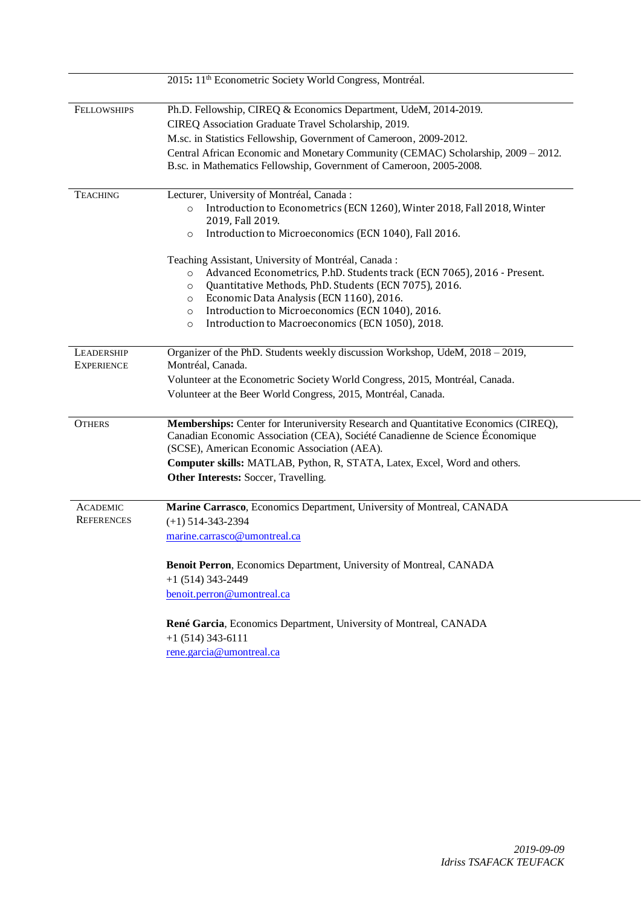|                    | 2015: 11 <sup>th</sup> Econometric Society World Congress, Montréal.                                                                                     |  |  |
|--------------------|----------------------------------------------------------------------------------------------------------------------------------------------------------|--|--|
| <b>FELLOWSHIPS</b> | Ph.D. Fellowship, CIREQ & Economics Department, UdeM, 2014-2019.                                                                                         |  |  |
|                    | CIREQ Association Graduate Travel Scholarship, 2019.                                                                                                     |  |  |
|                    | M.sc. in Statistics Fellowship, Government of Cameroon, 2009-2012.                                                                                       |  |  |
|                    | Central African Economic and Monetary Community (CEMAC) Scholarship, 2009 - 2012.<br>B.sc. in Mathematics Fellowship, Government of Cameroon, 2005-2008. |  |  |
| <b>TEACHING</b>    | Lecturer, University of Montréal, Canada:                                                                                                                |  |  |
|                    | Introduction to Econometrics (ECN 1260), Winter 2018, Fall 2018, Winter<br>$\circ$<br>2019, Fall 2019.                                                   |  |  |
|                    | Introduction to Microeconomics (ECN 1040), Fall 2016.<br>$\circ$                                                                                         |  |  |
|                    | Teaching Assistant, University of Montréal, Canada:                                                                                                      |  |  |
|                    | Advanced Econometrics, P.hD. Students track (ECN 7065), 2016 - Present.<br>$\circ$                                                                       |  |  |
|                    | Quantitative Methods, PhD. Students (ECN 7075), 2016.<br>$\circ$                                                                                         |  |  |
|                    | Economic Data Analysis (ECN 1160), 2016.<br>$\circ$                                                                                                      |  |  |
|                    | Introduction to Microeconomics (ECN 1040), 2016.<br>$\circ$                                                                                              |  |  |
|                    | Introduction to Macroeconomics (ECN 1050), 2018.<br>$\circ$                                                                                              |  |  |
| LEADERSHIP         | Organizer of the PhD. Students weekly discussion Workshop, UdeM, 2018 - 2019,                                                                            |  |  |
| <b>EXPERIENCE</b>  | Montréal, Canada.<br>Volunteer at the Econometric Society World Congress, 2015, Montréal, Canada.                                                        |  |  |
|                    |                                                                                                                                                          |  |  |
|                    | Volunteer at the Beer World Congress, 2015, Montréal, Canada.                                                                                            |  |  |
| <b>OTHERS</b>      | Memberships: Center for Interuniversity Research and Quantitative Economics (CIREQ),                                                                     |  |  |
|                    | Canadian Economic Association (CEA), Société Canadienne de Science Économique<br>(SCSE), American Economic Association (AEA).                            |  |  |
|                    | Computer skills: MATLAB, Python, R, STATA, Latex, Excel, Word and others.                                                                                |  |  |
|                    | Other Interests: Soccer, Travelling.                                                                                                                     |  |  |
| <b>ACADEMIC</b>    | Marine Carrasco, Economics Department, University of Montreal, CANADA                                                                                    |  |  |
| <b>REFERENCES</b>  | $(+1)$ 514-343-2394                                                                                                                                      |  |  |
|                    | marine.carrasco@umontreal.ca                                                                                                                             |  |  |
|                    |                                                                                                                                                          |  |  |
|                    | Benoit Perron, Economics Department, University of Montreal, CANADA                                                                                      |  |  |
|                    | $+1$ (514) 343-2449                                                                                                                                      |  |  |
|                    | benoit.perron@umontreal.ca                                                                                                                               |  |  |
|                    | René Garcia, Economics Department, University of Montreal, CANADA                                                                                        |  |  |
|                    | $+1$ (514) 343-6111                                                                                                                                      |  |  |
|                    | rene.garcia@umontreal.ca                                                                                                                                 |  |  |
|                    |                                                                                                                                                          |  |  |